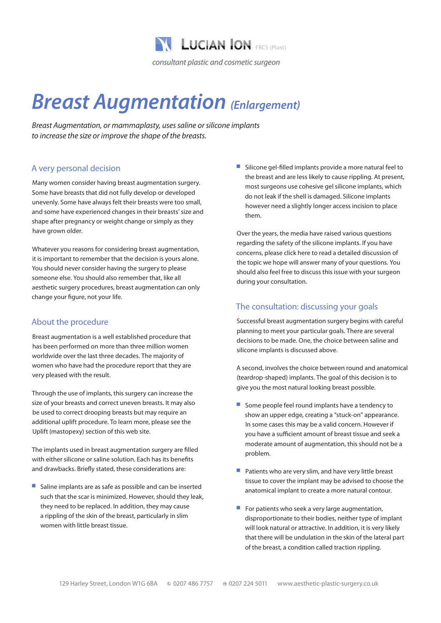

# *Breast Augmentation (Enlargement)*

*Breast Augmentation, or mammaplasty, uses saline or silicone implants to increase the size or improve the shape of the breasts.*

# A very personal decision

Many women consider having breast augmentation surgery. Some have breasts that did not fully develop or developed unevenly. Some have always felt their breasts were too small, and some have experienced changes in their breasts' size and shape after pregnancy or weight change or simply as they have grown older.

Whatever you reasons for considering breast augmentation, it is important to remember that the decision is yours alone. You should never consider having the surgery to please someone else. You should also remember that, like all aesthetic surgery procedures, breast augmentation can only change your figure, not your life.

# About the procedure

Breast augmentation is a well established procedure that has been performed on more than three million women worldwide over the last three decades. The majority of women who have had the procedure report that they are very pleased with the result.

Through the use of implants, this surgery can increase the size of your breasts and correct uneven breasts. It may also be used to correct drooping breasts but may require an additional uplift procedure. To learn more, please see the Uplift (mastopexy) section of this web site.

The implants used in breast augmentation surgery are filled with either silicone or saline solution. Each has its benefits and drawbacks. Briefly stated, these considerations are:

■ Saline implants are as safe as possible and can be inserted such that the scar is minimized. However, should they leak, they need to be replaced. In addition, they may cause a rippling of the skin of the breast, particularly in slim women with little breast tissue.

■ Silicone gel-filled implants provide a more natural feel to the breast and are less likely to cause rippling. At present, most surgeons use cohesive gel silicone implants, which do not leak if the shell is damaged. Silicone implants however need a slightly longer access incision to place them.

Over the years, the media have raised various questions regarding the safety of the silicone implants. If you have concerns, please click here to read a detailed discussion of the topic we hope will answer many of your questions. You should also feel free to discuss this issue with your surgeon during your consultation.

# The consultation: discussing your goals

Successful breast augmentation surgery begins with careful planning to meet your particular goals. There are several decisions to be made. One, the choice between saline and silicone implants is discussed above.

A second, involves the choice between round and anatomical (teardrop-shaped) implants. The goal of this decision is to give you the most natural looking breast possible.

- $\blacksquare$  Some people feel round implants have a tendency to show an upper edge, creating a "stuck-on" appearance. In some cases this may be a valid concern. However if you have a sufficient amount of breast tissue and seek a moderate amount of augmentation, this should not be a problem.
- $\blacksquare$  Patients who are very slim, and have very little breast tissue to cover the implant may be advised to choose the anatomical implant to create a more natural contour.
- $\blacksquare$  For patients who seek a very large augmentation, disproportionate to their bodies, neither type of implant will look natural or attractive. In addition, it is very likely that there will be undulation in the skin of the lateral part of the breast, a condition called traction rippling.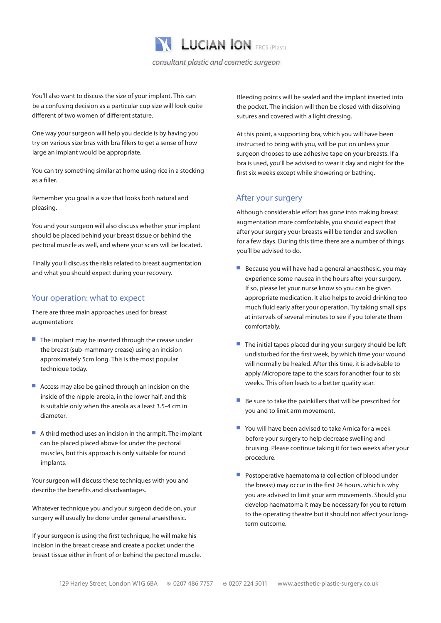

You'll also want to discuss the size of your implant. This can be a confusing decision as a particular cup size will look quite different of two women of different stature.

One way your surgeon will help you decide is by having you try on various size bras with bra fillers to get a sense of how large an implant would be appropriate.

You can try something similar at home using rice in a stocking as a filler.

Remember you goal is a size that looks both natural and pleasing.

You and your surgeon will also discuss whether your implant should be placed behind your breast tissue or behind the pectoral muscle as well, and where your scars will be located.

Finally you'll discuss the risks related to breast augmentation and what you should expect during your recovery.

# Your operation: what to expect

There are three main approaches used for breast augmentation:

- $\blacksquare$  The implant may be inserted through the crease under the breast (sub-mammary crease) using an incision approximately 5cm long. This is the most popular technique today.
- $\blacksquare$  Access may also be gained through an incision on the inside of the nipple-areola, in the lower half, and this is suitable only when the areola as a least 3.5-4 cm in diameter.
- $\blacksquare$  A third method uses an incision in the armpit. The implant can be placed placed above for under the pectoral muscles, but this approach is only suitable for round implants.

Your surgeon will discuss these techniques with you and describe the benefits and disadvantages.

Whatever technique you and your surgeon decide on, your surgery will usually be done under general anaesthesic.

If your surgeon is using the first technique, he will make his incision in the breast crease and create a pocket under the breast tissue either in front of or behind the pectoral muscle. Bleeding points will be sealed and the implant inserted into the pocket. The incision will then be closed with dissolving sutures and covered with a light dressing.

At this point, a supporting bra, which you will have been instructed to bring with you, will be put on unless your surgeon chooses to use adhesive tape on your breasts. If a bra is used, you'll be advised to wear it day and night for the first six weeks except while showering or bathing.

# After your surgery

Although considerable effort has gone into making breast augmentation more comfortable, you should expect that after your surgery your breasts will be tender and swollen for a few days. During this time there are a number of things you'll be advised to do.

- $\blacksquare$  Because you will have had a general anaesthesic, you may experience some nausea in the hours after your surgery. If so, please let your nurse know so you can be given appropriate medication. It also helps to avoid drinking too much fluid early after your operation. Try taking small sips at intervals of several minutes to see if you tolerate them comfortably.
- $\blacksquare$  The initial tapes placed during your surgery should be left undisturbed for the first week, by which time your wound will normally be healed. After this time, it is advisable to apply Micropore tape to the scars for another four to six weeks. This often leads to a better quality scar.
- $\blacksquare$  Be sure to take the painkillers that will be prescribed for you and to limit arm movement.
- $\blacksquare$  You will have been advised to take Arnica for a week before your surgery to help decrease swelling and bruising. Please continue taking it for two weeks after your procedure.
- $\blacksquare$  Postoperative haematoma (a collection of blood under the breast) may occur in the first 24 hours, which is why you are advised to limit your arm movements. Should you develop haematoma it may be necessary for you to return to the operating theatre but it should not affect your longterm outcome.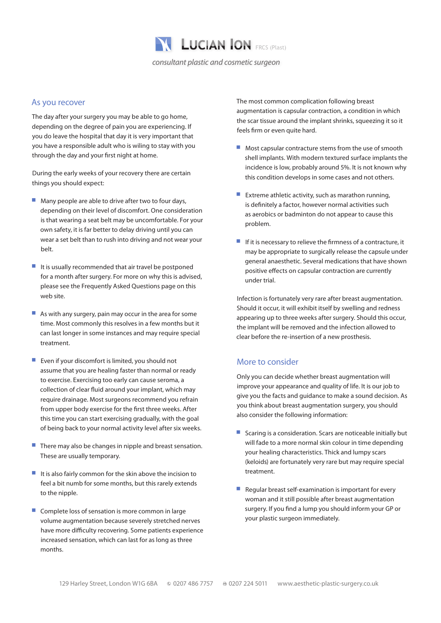

#### As you recover

The day after your surgery you may be able to go home, depending on the degree of pain you are experiencing. If you do leave the hospital that day it is very important that you have a responsible adult who is wiling to stay with you through the day and your first night at home.

During the early weeks of your recovery there are certain things you should expect:

- $\blacksquare$  Many people are able to drive after two to four days, depending on their level of discomfort. One consideration is that wearing a seat belt may be uncomfortable. For your own safety, it is far better to delay driving until you can wear a set belt than to rush into driving and not wear your belt.
- $\blacksquare$  It is usually recommended that air travel be postponed for a month after surgery. For more on why this is advised, please see the Frequently Asked Questions page on this web site.
- $\blacksquare$  As with any surgery, pain may occur in the area for some time. Most commonly this resolves in a few months but it can last longer in some instances and may require special treatment.
- $\blacksquare$  Even if your discomfort is limited, you should not assume that you are healing faster than normal or ready to exercise. Exercising too early can cause seroma, a collection of clear fluid around your implant, which may require drainage. Most surgeons recommend you refrain from upper body exercise for the first three weeks. After this time you can start exercising gradually, with the goal of being back to your normal activity level after six weeks.
- $\blacksquare$  There may also be changes in nipple and breast sensation. These are usually temporary.
- $\blacksquare$  It is also fairly common for the skin above the incision to feel a bit numb for some months, but this rarely extends to the nipple.
- Complete loss of sensation is more common in large volume augmentation because severely stretched nerves have more difficulty recovering. Some patients experience increased sensation, which can last for as long as three months.

The most common complication following breast augmentation is capsular contraction, a condition in which the scar tissue around the implant shrinks, squeezing it so it feels firm or even quite hard.

- $\blacksquare$  Most capsular contracture stems from the use of smooth shell implants. With modern textured surface implants the incidence is low, probably around 5%. It is not known why this condition develops in some cases and not others.
- Extreme athletic activity, such as marathon running, is definitely a factor, however normal activities such as aerobics or badminton do not appear to cause this problem.
- If it is necessary to relieve the firmness of a contracture, it may be appropriate to surgically release the capsule under general anaesthetic. Several medications that have shown positive effects on capsular contraction are currently under trial.

Infection is fortunately very rare after breast augmentation. Should it occur, it will exhibit itself by swelling and redness appearing up to three weeks after surgery. Should this occur, the implant will be removed and the infection allowed to clear before the re-insertion of a new prosthesis.

## More to consider

Only you can decide whether breast augmentation will improve your appearance and quality of life. It is our job to give you the facts and guidance to make a sound decision. As you think about breast augmentation surgery, you should also consider the following information:

- Scaring is a consideration. Scars are noticeable initially but will fade to a more normal skin colour in time depending your healing characteristics. Thick and lumpy scars (keloids) are fortunately very rare but may require special treatment.
- $\blacksquare$  Regular breast self-examination is important for every woman and it still possible after breast augmentation surgery. If you find a lump you should inform your GP or your plastic surgeon immediately.